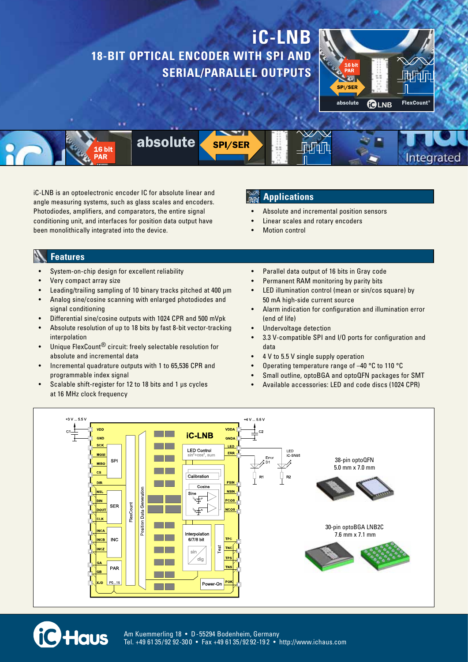# **iC-LNB 18-BIT OPTICAL ENCODER WITH SPI AND SERIAL/PARALLEL OUTPUTS**



Integrated

16 hit

absolute **SPI/SER** 

iC-LNB is an optoelectronic encoder IC for absolute linear and angle measuring systems, such as glass scales and encoders. Photodiodes, amplifiers, and comparators, the entire signal conditioning unit, and interfaces for position data output have been monolithically integrated into the device.

### **Applications**

- Absolute and incremental position sensors
- Linear scales and rotary encoders
- **Motion control**

#### **Features**

- System-on-chip design for excellent reliability
- Very compact array size

**iC** Haus

- Leading/trailing sampling of 10 binary tracks pitched at 400 µm
- Analog sine/cosine scanning with enlarged photodiodes and signal conditioning
- Differential sine/cosine outputs with 1024 CPR and 500 mVpk
- Absolute resolution of up to 18 bits by fast 8-bit vector-tracking interpolation
- Unique FlexCount<sup>®</sup> circuit: freely selectable resolution for absolute and incremental data
- Incremental quadrature outputs with 1 to 65,536 CPR and programmable index signal
- Scalable shift-register for 12 to 18 bits and 1 µs cycles at 16 MHz clock frequency
- Parallel data output of 16 bits in Gray code
- Permanent RAM monitoring by parity bits
- LED illumination control (mean or sin/cos square) by 50 mA high-side current source
- Alarm indication for configuration and illumination error (end of life)
- Undervoltage detection
- 3.3 V-compatible SPI and I/O ports for configuration and data
- 4 V to 5.5 V single supply operation
- Operating temperature range of  $-40$  °C to 110 °C
- Small outline, optoBGA and optoQFN packages for SMT
- Available accessories: LED and code discs (1024 CPR)